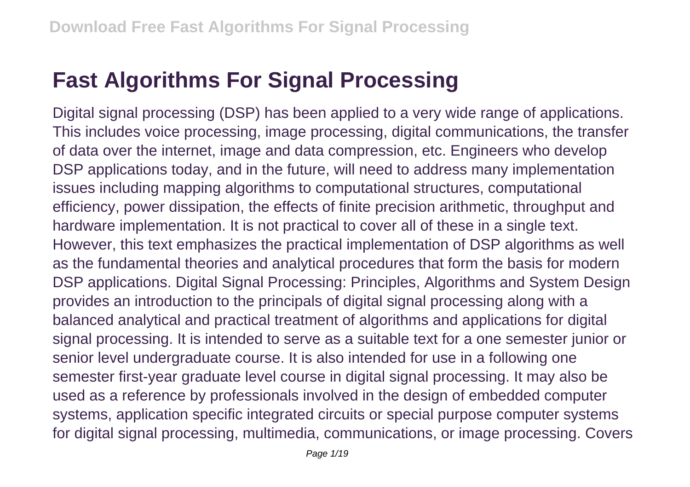## **Fast Algorithms For Signal Processing**

Digital signal processing (DSP) has been applied to a very wide range of applications. This includes voice processing, image processing, digital communications, the transfer of data over the internet, image and data compression, etc. Engineers who develop DSP applications today, and in the future, will need to address many implementation issues including mapping algorithms to computational structures, computational efficiency, power dissipation, the effects of finite precision arithmetic, throughput and hardware implementation. It is not practical to cover all of these in a single text. However, this text emphasizes the practical implementation of DSP algorithms as well as the fundamental theories and analytical procedures that form the basis for modern DSP applications. Digital Signal Processing: Principles, Algorithms and System Design provides an introduction to the principals of digital signal processing along with a balanced analytical and practical treatment of algorithms and applications for digital signal processing. It is intended to serve as a suitable text for a one semester junior or senior level undergraduate course. It is also intended for use in a following one semester first-year graduate level course in digital signal processing. It may also be used as a reference by professionals involved in the design of embedded computer systems, application specific integrated circuits or special purpose computer systems for digital signal processing, multimedia, communications, or image processing. Covers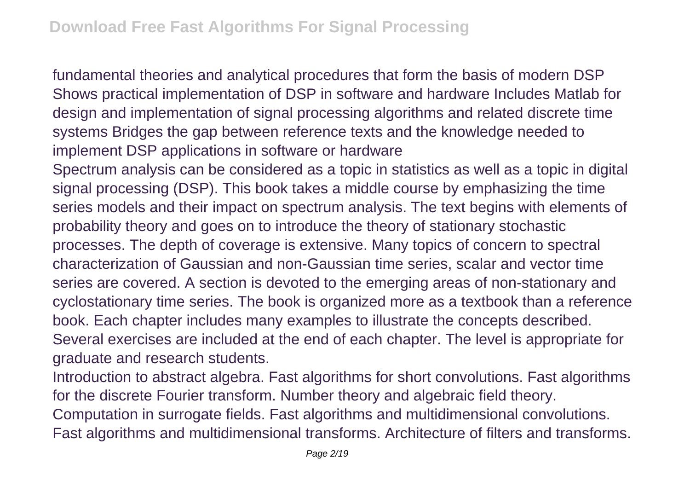fundamental theories and analytical procedures that form the basis of modern DSP Shows practical implementation of DSP in software and hardware Includes Matlab for design and implementation of signal processing algorithms and related discrete time systems Bridges the gap between reference texts and the knowledge needed to implement DSP applications in software or hardware

Spectrum analysis can be considered as a topic in statistics as well as a topic in digital signal processing (DSP). This book takes a middle course by emphasizing the time series models and their impact on spectrum analysis. The text begins with elements of probability theory and goes on to introduce the theory of stationary stochastic processes. The depth of coverage is extensive. Many topics of concern to spectral characterization of Gaussian and non-Gaussian time series, scalar and vector time series are covered. A section is devoted to the emerging areas of non-stationary and cyclostationary time series. The book is organized more as a textbook than a reference book. Each chapter includes many examples to illustrate the concepts described. Several exercises are included at the end of each chapter. The level is appropriate for graduate and research students.

Introduction to abstract algebra. Fast algorithms for short convolutions. Fast algorithms for the discrete Fourier transform. Number theory and algebraic field theory. Computation in surrogate fields. Fast algorithms and multidimensional convolutions. Fast algorithms and multidimensional transforms. Architecture of filters and transforms.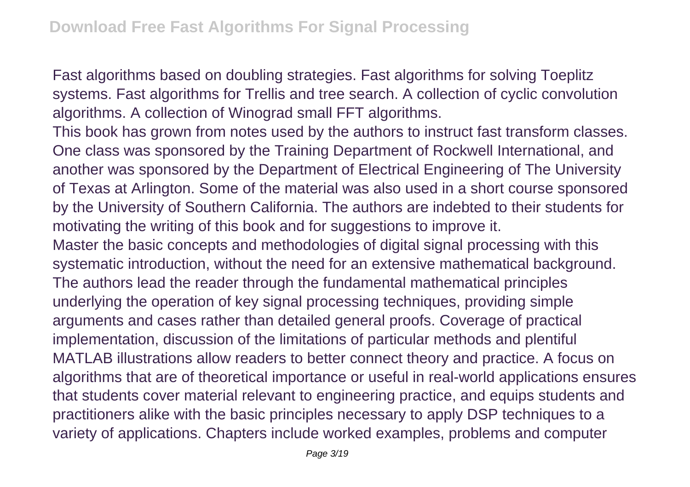Fast algorithms based on doubling strategies. Fast algorithms for solving Toeplitz systems. Fast algorithms for Trellis and tree search. A collection of cyclic convolution algorithms. A collection of Winograd small FFT algorithms.

This book has grown from notes used by the authors to instruct fast transform classes. One class was sponsored by the Training Department of Rockwell International, and another was sponsored by the Department of Electrical Engineering of The University of Texas at Arlington. Some of the material was also used in a short course sponsored by the University of Southern California. The authors are indebted to their students for motivating the writing of this book and for suggestions to improve it.

Master the basic concepts and methodologies of digital signal processing with this systematic introduction, without the need for an extensive mathematical background. The authors lead the reader through the fundamental mathematical principles underlying the operation of key signal processing techniques, providing simple arguments and cases rather than detailed general proofs. Coverage of practical implementation, discussion of the limitations of particular methods and plentiful MATLAB illustrations allow readers to better connect theory and practice. A focus on algorithms that are of theoretical importance or useful in real-world applications ensures that students cover material relevant to engineering practice, and equips students and practitioners alike with the basic principles necessary to apply DSP techniques to a variety of applications. Chapters include worked examples, problems and computer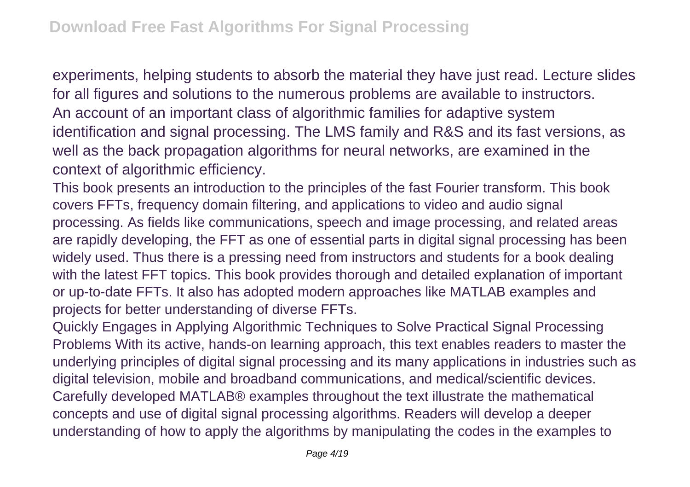experiments, helping students to absorb the material they have just read. Lecture slides for all figures and solutions to the numerous problems are available to instructors. An account of an important class of algorithmic families for adaptive system identification and signal processing. The LMS family and R&S and its fast versions, as well as the back propagation algorithms for neural networks, are examined in the context of algorithmic efficiency.

This book presents an introduction to the principles of the fast Fourier transform. This book covers FFTs, frequency domain filtering, and applications to video and audio signal processing. As fields like communications, speech and image processing, and related areas are rapidly developing, the FFT as one of essential parts in digital signal processing has been widely used. Thus there is a pressing need from instructors and students for a book dealing with the latest FFT topics. This book provides thorough and detailed explanation of important or up-to-date FFTs. It also has adopted modern approaches like MATLAB examples and projects for better understanding of diverse FFTs.

Quickly Engages in Applying Algorithmic Techniques to Solve Practical Signal Processing Problems With its active, hands-on learning approach, this text enables readers to master the underlying principles of digital signal processing and its many applications in industries such as digital television, mobile and broadband communications, and medical/scientific devices. Carefully developed MATLAB® examples throughout the text illustrate the mathematical concepts and use of digital signal processing algorithms. Readers will develop a deeper understanding of how to apply the algorithms by manipulating the codes in the examples to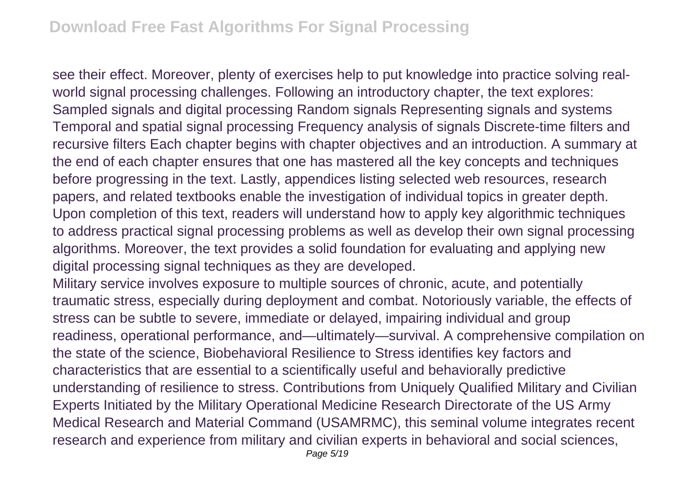see their effect. Moreover, plenty of exercises help to put knowledge into practice solving realworld signal processing challenges. Following an introductory chapter, the text explores: Sampled signals and digital processing Random signals Representing signals and systems Temporal and spatial signal processing Frequency analysis of signals Discrete-time filters and recursive filters Each chapter begins with chapter objectives and an introduction. A summary at the end of each chapter ensures that one has mastered all the key concepts and techniques before progressing in the text. Lastly, appendices listing selected web resources, research papers, and related textbooks enable the investigation of individual topics in greater depth. Upon completion of this text, readers will understand how to apply key algorithmic techniques to address practical signal processing problems as well as develop their own signal processing algorithms. Moreover, the text provides a solid foundation for evaluating and applying new digital processing signal techniques as they are developed.

Military service involves exposure to multiple sources of chronic, acute, and potentially traumatic stress, especially during deployment and combat. Notoriously variable, the effects of stress can be subtle to severe, immediate or delayed, impairing individual and group readiness, operational performance, and—ultimately—survival. A comprehensive compilation on the state of the science, Biobehavioral Resilience to Stress identifies key factors and characteristics that are essential to a scientifically useful and behaviorally predictive understanding of resilience to stress. Contributions from Uniquely Qualified Military and Civilian Experts Initiated by the Military Operational Medicine Research Directorate of the US Army Medical Research and Material Command (USAMRMC), this seminal volume integrates recent research and experience from military and civilian experts in behavioral and social sciences,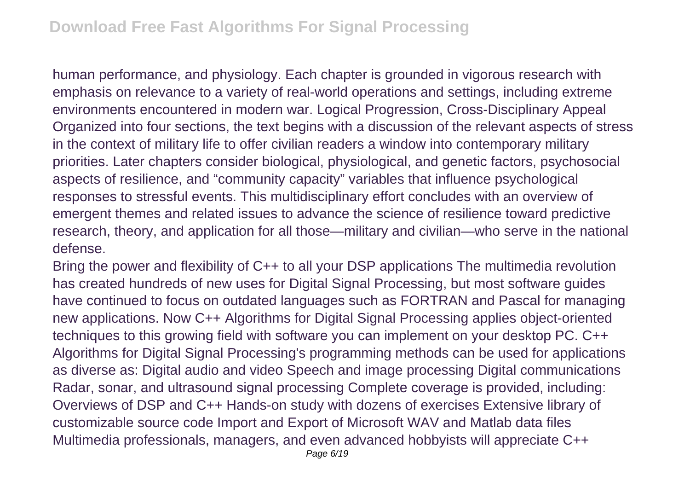human performance, and physiology. Each chapter is grounded in vigorous research with emphasis on relevance to a variety of real-world operations and settings, including extreme environments encountered in modern war. Logical Progression, Cross-Disciplinary Appeal Organized into four sections, the text begins with a discussion of the relevant aspects of stress in the context of military life to offer civilian readers a window into contemporary military priorities. Later chapters consider biological, physiological, and genetic factors, psychosocial aspects of resilience, and "community capacity" variables that influence psychological responses to stressful events. This multidisciplinary effort concludes with an overview of emergent themes and related issues to advance the science of resilience toward predictive research, theory, and application for all those—military and civilian—who serve in the national defense.

Bring the power and flexibility of C++ to all your DSP applications The multimedia revolution has created hundreds of new uses for Digital Signal Processing, but most software guides have continued to focus on outdated languages such as FORTRAN and Pascal for managing new applications. Now C++ Algorithms for Digital Signal Processing applies object-oriented techniques to this growing field with software you can implement on your desktop PC. C++ Algorithms for Digital Signal Processing's programming methods can be used for applications as diverse as: Digital audio and video Speech and image processing Digital communications Radar, sonar, and ultrasound signal processing Complete coverage is provided, including: Overviews of DSP and C++ Hands-on study with dozens of exercises Extensive library of customizable source code Import and Export of Microsoft WAV and Matlab data files Multimedia professionals, managers, and even advanced hobbyists will appreciate C++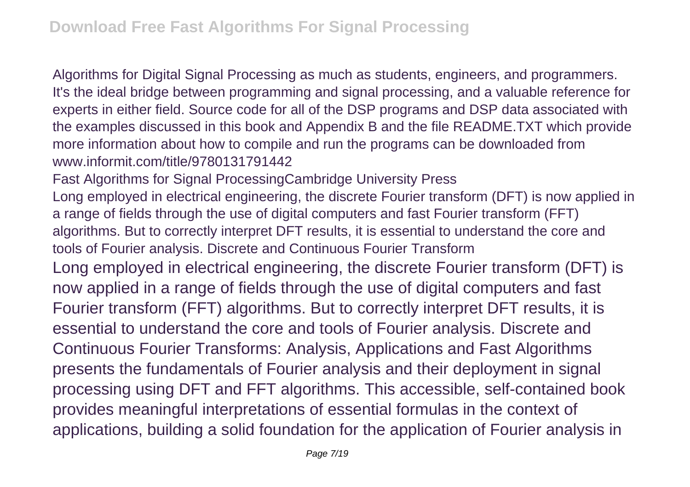Algorithms for Digital Signal Processing as much as students, engineers, and programmers. It's the ideal bridge between programming and signal processing, and a valuable reference for experts in either field. Source code for all of the DSP programs and DSP data associated with the examples discussed in this book and Appendix B and the file README.TXT which provide more information about how to compile and run the programs can be downloaded from www.informit.com/title/9780131791442

Fast Algorithms for Signal ProcessingCambridge University Press Long employed in electrical engineering, the discrete Fourier transform (DFT) is now applied in a range of fields through the use of digital computers and fast Fourier transform (FFT) algorithms. But to correctly interpret DFT results, it is essential to understand the core and tools of Fourier analysis. Discrete and Continuous Fourier Transform Long employed in electrical engineering, the discrete Fourier transform (DFT) is now applied in a range of fields through the use of digital computers and fast Fourier transform (FFT) algorithms. But to correctly interpret DFT results, it is essential to understand the core and tools of Fourier analysis. Discrete and Continuous Fourier Transforms: Analysis, Applications and Fast Algorithms presents the fundamentals of Fourier analysis and their deployment in signal processing using DFT and FFT algorithms. This accessible, self-contained book provides meaningful interpretations of essential formulas in the context of applications, building a solid foundation for the application of Fourier analysis in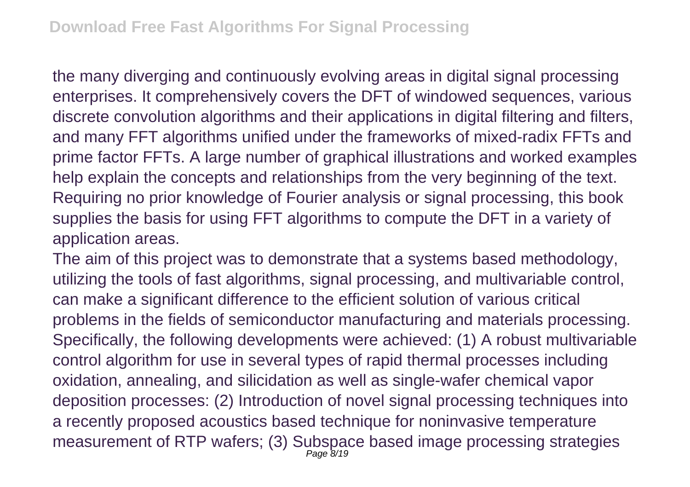the many diverging and continuously evolving areas in digital signal processing enterprises. It comprehensively covers the DFT of windowed sequences, various discrete convolution algorithms and their applications in digital filtering and filters, and many FFT algorithms unified under the frameworks of mixed-radix FFTs and prime factor FFTs. A large number of graphical illustrations and worked examples help explain the concepts and relationships from the very beginning of the text. Requiring no prior knowledge of Fourier analysis or signal processing, this book supplies the basis for using FFT algorithms to compute the DFT in a variety of application areas.

The aim of this project was to demonstrate that a systems based methodology, utilizing the tools of fast algorithms, signal processing, and multivariable control, can make a significant difference to the efficient solution of various critical problems in the fields of semiconductor manufacturing and materials processing. Specifically, the following developments were achieved: (1) A robust multivariable control algorithm for use in several types of rapid thermal processes including oxidation, annealing, and silicidation as well as single-wafer chemical vapor deposition processes: (2) Introduction of novel signal processing techniques into a recently proposed acoustics based technique for noninvasive temperature measurement of RTP wafers; (3) Subspace based image processing strategies Page 8/19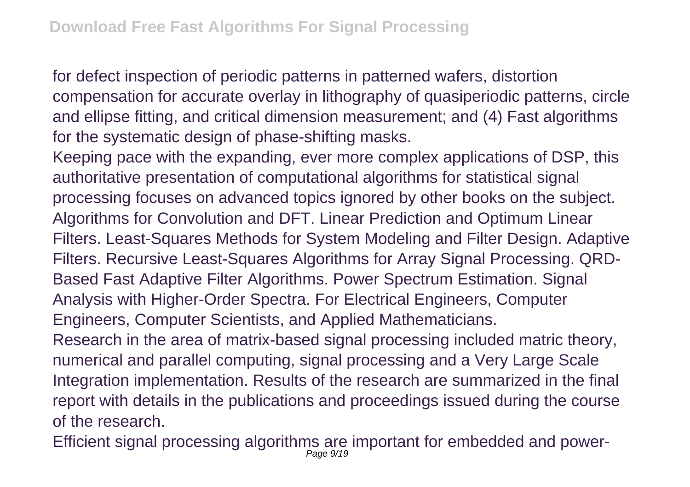for defect inspection of periodic patterns in patterned wafers, distortion compensation for accurate overlay in lithography of quasiperiodic patterns, circle and ellipse fitting, and critical dimension measurement; and (4) Fast algorithms for the systematic design of phase-shifting masks.

Keeping pace with the expanding, ever more complex applications of DSP, this authoritative presentation of computational algorithms for statistical signal processing focuses on advanced topics ignored by other books on the subject. Algorithms for Convolution and DFT. Linear Prediction and Optimum Linear Filters. Least-Squares Methods for System Modeling and Filter Design. Adaptive Filters. Recursive Least-Squares Algorithms for Array Signal Processing. QRD-Based Fast Adaptive Filter Algorithms. Power Spectrum Estimation. Signal Analysis with Higher-Order Spectra. For Electrical Engineers, Computer Engineers, Computer Scientists, and Applied Mathematicians.

Research in the area of matrix-based signal processing included matric theory, numerical and parallel computing, signal processing and a Very Large Scale Integration implementation. Results of the research are summarized in the final report with details in the publications and proceedings issued during the course of the research.

Efficient signal processing algorithms are important for embedded and power-Page 9/19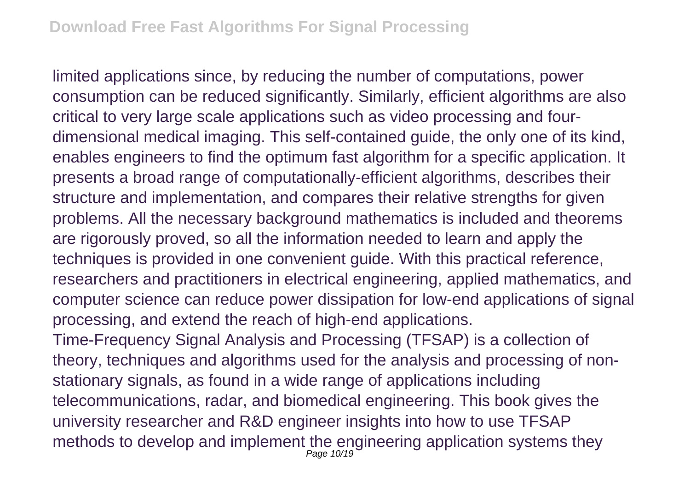limited applications since, by reducing the number of computations, power consumption can be reduced significantly. Similarly, efficient algorithms are also critical to very large scale applications such as video processing and fourdimensional medical imaging. This self-contained guide, the only one of its kind, enables engineers to find the optimum fast algorithm for a specific application. It presents a broad range of computationally-efficient algorithms, describes their structure and implementation, and compares their relative strengths for given problems. All the necessary background mathematics is included and theorems are rigorously proved, so all the information needed to learn and apply the techniques is provided in one convenient guide. With this practical reference, researchers and practitioners in electrical engineering, applied mathematics, and computer science can reduce power dissipation for low-end applications of signal processing, and extend the reach of high-end applications.

Time-Frequency Signal Analysis and Processing (TFSAP) is a collection of theory, techniques and algorithms used for the analysis and processing of nonstationary signals, as found in a wide range of applications including telecommunications, radar, and biomedical engineering. This book gives the university researcher and R&D engineer insights into how to use TFSAP methods to develop and implement the engineering application systems they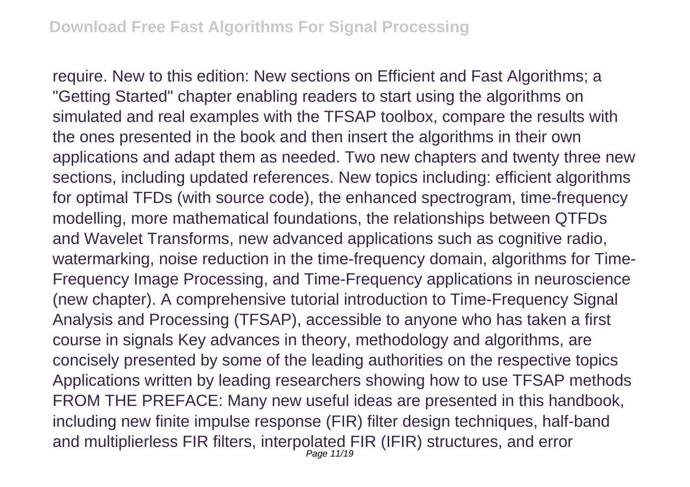require. New to this edition: New sections on Efficient and Fast Algorithms; a "Getting Started" chapter enabling readers to start using the algorithms on simulated and real examples with the TFSAP toolbox, compare the results with the ones presented in the book and then insert the algorithms in their own applications and adapt them as needed. Two new chapters and twenty three new sections, including updated references. New topics including: efficient algorithms for optimal TFDs (with source code), the enhanced spectrogram, time-frequency modelling, more mathematical foundations, the relationships between QTFDs and Wavelet Transforms, new advanced applications such as cognitive radio, watermarking, noise reduction in the time-frequency domain, algorithms for Time-Frequency Image Processing, and Time-Frequency applications in neuroscience (new chapter). A comprehensive tutorial introduction to Time-Frequency Signal Analysis and Processing (TFSAP), accessible to anyone who has taken a first course in signals Key advances in theory, methodology and algorithms, are concisely presented by some of the leading authorities on the respective topics Applications written by leading researchers showing how to use TFSAP methods FROM THE PREFACE: Many new useful ideas are presented in this handbook, including new finite impulse response (FIR) filter design techniques, half-band and multiplierless FIR filters, interpolated FIR (IFIR) structures, and error Page 11/19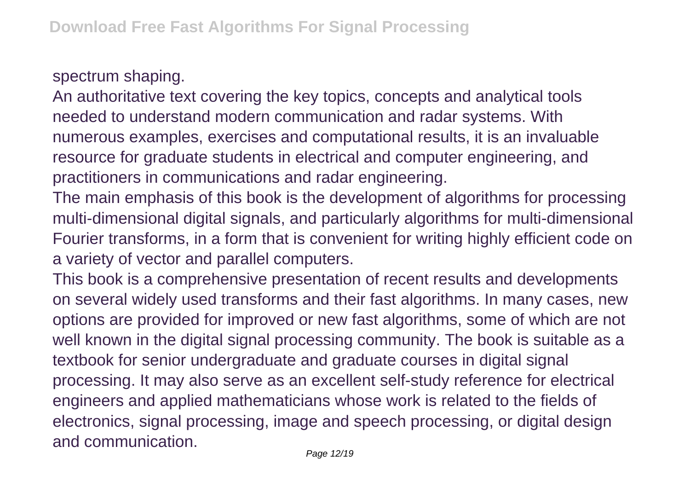spectrum shaping.

An authoritative text covering the key topics, concepts and analytical tools needed to understand modern communication and radar systems. With numerous examples, exercises and computational results, it is an invaluable resource for graduate students in electrical and computer engineering, and practitioners in communications and radar engineering.

The main emphasis of this book is the development of algorithms for processing multi-dimensional digital signals, and particularly algorithms for multi-dimensional Fourier transforms, in a form that is convenient for writing highly efficient code on a variety of vector and parallel computers.

This book is a comprehensive presentation of recent results and developments on several widely used transforms and their fast algorithms. In many cases, new options are provided for improved or new fast algorithms, some of which are not well known in the digital signal processing community. The book is suitable as a textbook for senior undergraduate and graduate courses in digital signal processing. It may also serve as an excellent self-study reference for electrical engineers and applied mathematicians whose work is related to the fields of electronics, signal processing, image and speech processing, or digital design and communication.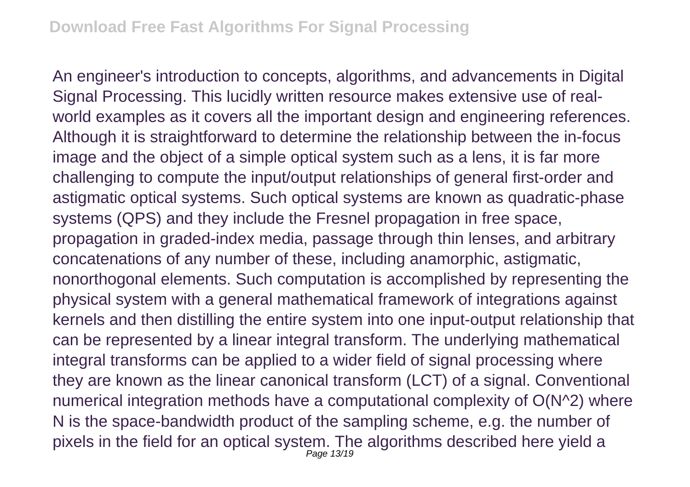An engineer's introduction to concepts, algorithms, and advancements in Digital Signal Processing. This lucidly written resource makes extensive use of realworld examples as it covers all the important design and engineering references. Although it is straightforward to determine the relationship between the in-focus image and the object of a simple optical system such as a lens, it is far more challenging to compute the input/output relationships of general first-order and astigmatic optical systems. Such optical systems are known as quadratic-phase systems (QPS) and they include the Fresnel propagation in free space, propagation in graded-index media, passage through thin lenses, and arbitrary concatenations of any number of these, including anamorphic, astigmatic, nonorthogonal elements. Such computation is accomplished by representing the physical system with a general mathematical framework of integrations against kernels and then distilling the entire system into one input-output relationship that can be represented by a linear integral transform. The underlying mathematical integral transforms can be applied to a wider field of signal processing where they are known as the linear canonical transform (LCT) of a signal. Conventional numerical integration methods have a computational complexity of O(N^2) where N is the space-bandwidth product of the sampling scheme, e.g. the number of pixels in the field for an optical system. The algorithms described here yield a Page 13/19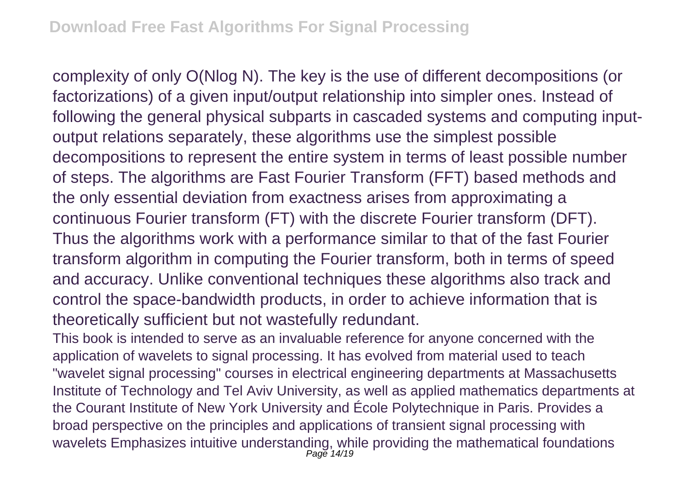complexity of only O(Nlog N). The key is the use of different decompositions (or factorizations) of a given input/output relationship into simpler ones. Instead of following the general physical subparts in cascaded systems and computing inputoutput relations separately, these algorithms use the simplest possible decompositions to represent the entire system in terms of least possible number of steps. The algorithms are Fast Fourier Transform (FFT) based methods and the only essential deviation from exactness arises from approximating a continuous Fourier transform (FT) with the discrete Fourier transform (DFT). Thus the algorithms work with a performance similar to that of the fast Fourier transform algorithm in computing the Fourier transform, both in terms of speed and accuracy. Unlike conventional techniques these algorithms also track and control the space-bandwidth products, in order to achieve information that is theoretically sufficient but not wastefully redundant.

This book is intended to serve as an invaluable reference for anyone concerned with the application of wavelets to signal processing. It has evolved from material used to teach "wavelet signal processing" courses in electrical engineering departments at Massachusetts Institute of Technology and Tel Aviv University, as well as applied mathematics departments at the Courant Institute of New York University and École Polytechnique in Paris. Provides a broad perspective on the principles and applications of transient signal processing with wavelets Emphasizes intuitive understanding, while providing the mathematical foundations Page 14/19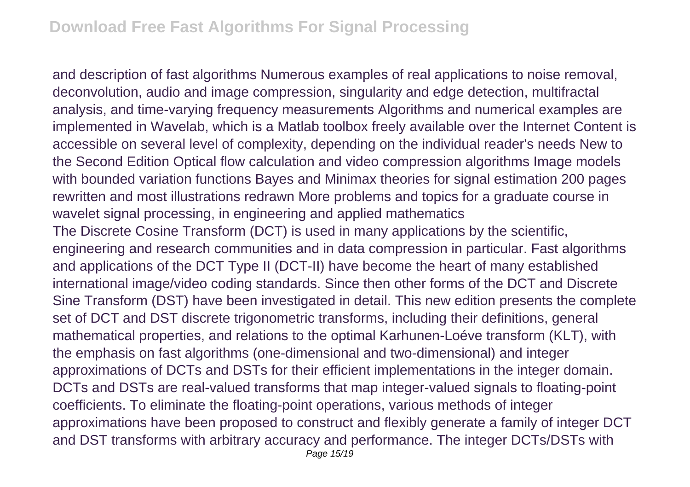and description of fast algorithms Numerous examples of real applications to noise removal, deconvolution, audio and image compression, singularity and edge detection, multifractal analysis, and time-varying frequency measurements Algorithms and numerical examples are implemented in Wavelab, which is a Matlab toolbox freely available over the Internet Content is accessible on several level of complexity, depending on the individual reader's needs New to the Second Edition Optical flow calculation and video compression algorithms Image models with bounded variation functions Bayes and Minimax theories for signal estimation 200 pages rewritten and most illustrations redrawn More problems and topics for a graduate course in wavelet signal processing, in engineering and applied mathematics The Discrete Cosine Transform (DCT) is used in many applications by the scientific, engineering and research communities and in data compression in particular. Fast algorithms and applications of the DCT Type II (DCT-II) have become the heart of many established international image/video coding standards. Since then other forms of the DCT and Discrete Sine Transform (DST) have been investigated in detail. This new edition presents the complete set of DCT and DST discrete trigonometric transforms, including their definitions, general mathematical properties, and relations to the optimal Karhunen-Loéve transform (KLT), with the emphasis on fast algorithms (one-dimensional and two-dimensional) and integer approximations of DCTs and DSTs for their efficient implementations in the integer domain. DCTs and DSTs are real-valued transforms that map integer-valued signals to floating-point coefficients. To eliminate the floating-point operations, various methods of integer approximations have been proposed to construct and flexibly generate a family of integer DCT and DST transforms with arbitrary accuracy and performance. The integer DCTs/DSTs with Page 15/19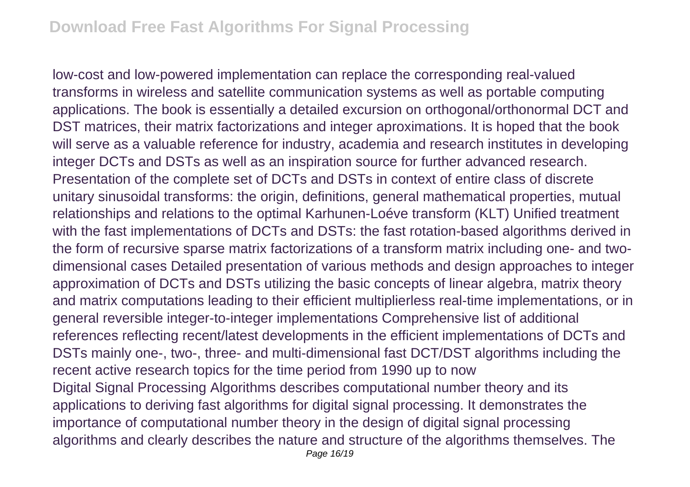low-cost and low-powered implementation can replace the corresponding real-valued transforms in wireless and satellite communication systems as well as portable computing applications. The book is essentially a detailed excursion on orthogonal/orthonormal DCT and DST matrices, their matrix factorizations and integer aproximations. It is hoped that the book will serve as a valuable reference for industry, academia and research institutes in developing integer DCTs and DSTs as well as an inspiration source for further advanced research. Presentation of the complete set of DCTs and DSTs in context of entire class of discrete unitary sinusoidal transforms: the origin, definitions, general mathematical properties, mutual relationships and relations to the optimal Karhunen-Loéve transform (KLT) Unified treatment with the fast implementations of DCTs and DSTs: the fast rotation-based algorithms derived in the form of recursive sparse matrix factorizations of a transform matrix including one- and twodimensional cases Detailed presentation of various methods and design approaches to integer approximation of DCTs and DSTs utilizing the basic concepts of linear algebra, matrix theory and matrix computations leading to their efficient multiplierless real-time implementations, or in general reversible integer-to-integer implementations Comprehensive list of additional references reflecting recent/latest developments in the efficient implementations of DCTs and DSTs mainly one-, two-, three- and multi-dimensional fast DCT/DST algorithms including the recent active research topics for the time period from 1990 up to now Digital Signal Processing Algorithms describes computational number theory and its applications to deriving fast algorithms for digital signal processing. It demonstrates the importance of computational number theory in the design of digital signal processing algorithms and clearly describes the nature and structure of the algorithms themselves. The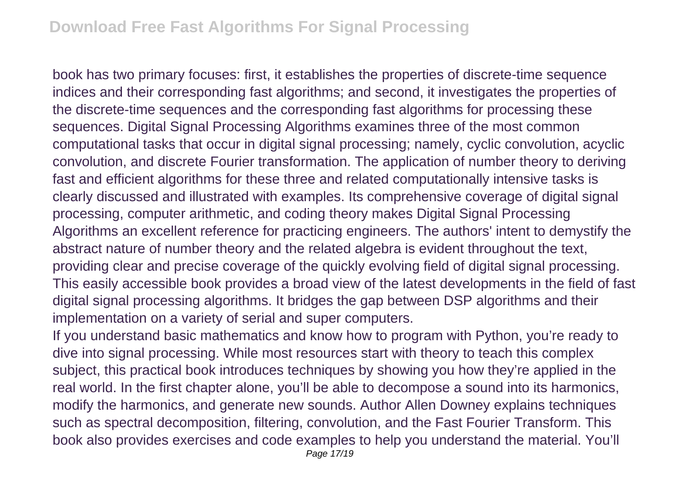book has two primary focuses: first, it establishes the properties of discrete-time sequence indices and their corresponding fast algorithms; and second, it investigates the properties of the discrete-time sequences and the corresponding fast algorithms for processing these sequences. Digital Signal Processing Algorithms examines three of the most common computational tasks that occur in digital signal processing; namely, cyclic convolution, acyclic convolution, and discrete Fourier transformation. The application of number theory to deriving fast and efficient algorithms for these three and related computationally intensive tasks is clearly discussed and illustrated with examples. Its comprehensive coverage of digital signal processing, computer arithmetic, and coding theory makes Digital Signal Processing Algorithms an excellent reference for practicing engineers. The authors' intent to demystify the abstract nature of number theory and the related algebra is evident throughout the text, providing clear and precise coverage of the quickly evolving field of digital signal processing. This easily accessible book provides a broad view of the latest developments in the field of fast digital signal processing algorithms. It bridges the gap between DSP algorithms and their implementation on a variety of serial and super computers.

If you understand basic mathematics and know how to program with Python, you're ready to dive into signal processing. While most resources start with theory to teach this complex subject, this practical book introduces techniques by showing you how they're applied in the real world. In the first chapter alone, you'll be able to decompose a sound into its harmonics, modify the harmonics, and generate new sounds. Author Allen Downey explains techniques such as spectral decomposition, filtering, convolution, and the Fast Fourier Transform. This book also provides exercises and code examples to help you understand the material. You'll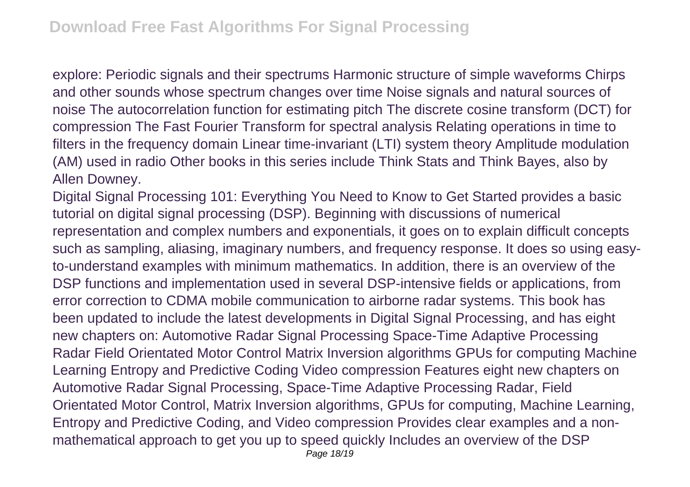explore: Periodic signals and their spectrums Harmonic structure of simple waveforms Chirps and other sounds whose spectrum changes over time Noise signals and natural sources of noise The autocorrelation function for estimating pitch The discrete cosine transform (DCT) for compression The Fast Fourier Transform for spectral analysis Relating operations in time to filters in the frequency domain Linear time-invariant (LTI) system theory Amplitude modulation (AM) used in radio Other books in this series include Think Stats and Think Bayes, also by Allen Downey.

Digital Signal Processing 101: Everything You Need to Know to Get Started provides a basic tutorial on digital signal processing (DSP). Beginning with discussions of numerical representation and complex numbers and exponentials, it goes on to explain difficult concepts such as sampling, aliasing, imaginary numbers, and frequency response. It does so using easyto-understand examples with minimum mathematics. In addition, there is an overview of the DSP functions and implementation used in several DSP-intensive fields or applications, from error correction to CDMA mobile communication to airborne radar systems. This book has been updated to include the latest developments in Digital Signal Processing, and has eight new chapters on: Automotive Radar Signal Processing Space-Time Adaptive Processing Radar Field Orientated Motor Control Matrix Inversion algorithms GPUs for computing Machine Learning Entropy and Predictive Coding Video compression Features eight new chapters on Automotive Radar Signal Processing, Space-Time Adaptive Processing Radar, Field Orientated Motor Control, Matrix Inversion algorithms, GPUs for computing, Machine Learning, Entropy and Predictive Coding, and Video compression Provides clear examples and a nonmathematical approach to get you up to speed quickly Includes an overview of the DSP Page 18/19